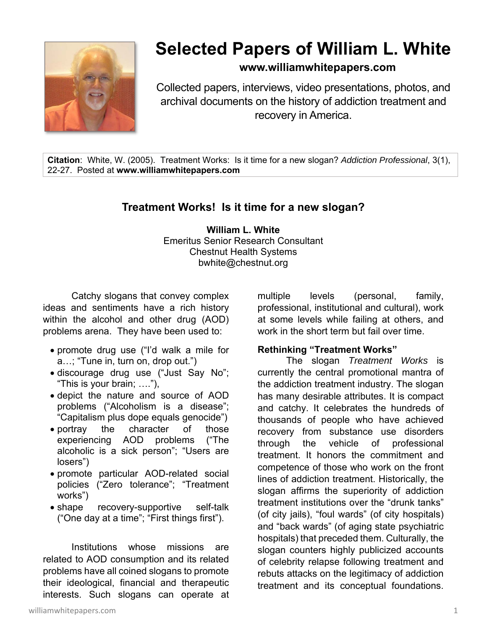

# **Selected Papers of William L. White**

# **www.williamwhitepapers.com**

Collected papers, interviews, video presentations, photos, and archival documents on the history of addiction treatment and recovery in America.

**Citation**: White, W. (2005). Treatment Works: Is it time for a new slogan? *Addiction Professional*, 3(1), 22-27. Posted at **www.williamwhitepapers.com** 

# **Treatment Works! Is it time for a new slogan?**

**William L. White**  Emeritus Senior Research Consultant Chestnut Health Systems bwhite@chestnut.org

Catchy slogans that convey complex ideas and sentiments have a rich history within the alcohol and other drug (AOD) problems arena. They have been used to:

- promote drug use ("I'd walk a mile for a…; "Tune in, turn on, drop out.")
- discourage drug use ("Just Say No"; "This is your brain; …."),
- depict the nature and source of AOD problems ("Alcoholism is a disease"; "Capitalism plus dope equals genocide")
- portray the character of those experiencing AOD problems ("The alcoholic is a sick person"; "Users are losers")
- promote particular AOD-related social policies ("Zero tolerance"; "Treatment works")
- shape recovery-supportive self-talk ("One day at a time"; "First things first").

Institutions whose missions are related to AOD consumption and its related problems have all coined slogans to promote their ideological, financial and therapeutic interests. Such slogans can operate at multiple levels (personal, family, professional, institutional and cultural), work at some levels while failing at others, and work in the short term but fail over time.

#### **Rethinking "Treatment Works"**

The slogan *Treatment Works* is currently the central promotional mantra of the addiction treatment industry. The slogan has many desirable attributes. It is compact and catchy. It celebrates the hundreds of thousands of people who have achieved recovery from substance use disorders through the vehicle of professional treatment. It honors the commitment and competence of those who work on the front lines of addiction treatment. Historically, the slogan affirms the superiority of addiction treatment institutions over the "drunk tanks" (of city jails), "foul wards" (of city hospitals) and "back wards" (of aging state psychiatric hospitals) that preceded them. Culturally, the slogan counters highly publicized accounts of celebrity relapse following treatment and rebuts attacks on the legitimacy of addiction treatment and its conceptual foundations.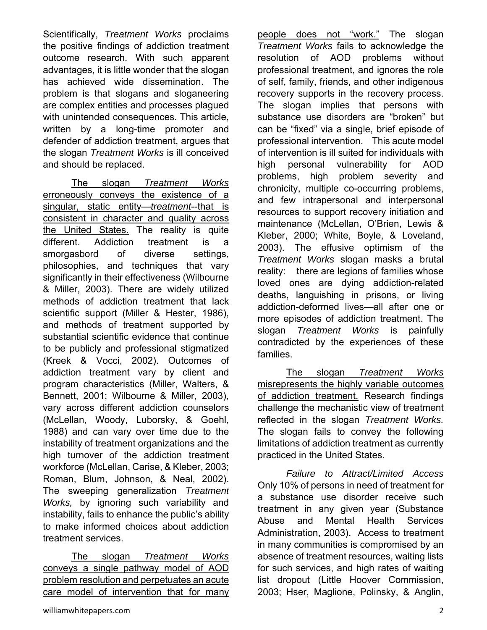Scientifically, *Treatment Works* proclaims the positive findings of addiction treatment outcome research. With such apparent advantages, it is little wonder that the slogan has achieved wide dissemination. The problem is that slogans and sloganeering are complex entities and processes plagued with unintended consequences. This article, written by a long-time promoter and defender of addiction treatment, argues that the slogan *Treatment Works* is ill conceived and should be replaced.

The slogan *Treatment Works* erroneously conveys the existence of a singular, static entity—*treatment*--that is consistent in character and quality across the United States. The reality is quite different. Addiction treatment is a smorgasbord of diverse settings, philosophies, and techniques that vary significantly in their effectiveness (Wilbourne & Miller, 2003). There are widely utilized methods of addiction treatment that lack scientific support (Miller & Hester, 1986), and methods of treatment supported by substantial scientific evidence that continue to be publicly and professional stigmatized (Kreek & Vocci, 2002). Outcomes of addiction treatment vary by client and program characteristics (Miller, Walters, & Bennett, 2001; Wilbourne & Miller, 2003), vary across different addiction counselors (McLellan, Woody, Luborsky, & Goehl, 1988) and can vary over time due to the instability of treatment organizations and the high turnover of the addiction treatment workforce (McLellan, Carise, & Kleber, 2003; Roman, Blum, Johnson, & Neal, 2002). The sweeping generalization *Treatment Works,* by ignoring such variability and instability, fails to enhance the public's ability to make informed choices about addiction treatment services.

The slogan *Treatment Works* conveys a single pathway model of AOD problem resolution and perpetuates an acute care model of intervention that for many

people does not "work." The slogan *Treatment Works* fails to acknowledge the resolution of AOD problems without professional treatment, and ignores the role of self, family, friends, and other indigenous recovery supports in the recovery process. The slogan implies that persons with substance use disorders are "broken" but can be "fixed" via a single, brief episode of professional intervention. This acute model of intervention is ill suited for individuals with high personal vulnerability for AOD problems, high problem severity and chronicity, multiple co-occurring problems, and few intrapersonal and interpersonal resources to support recovery initiation and maintenance (McLellan, O'Brien, Lewis & Kleber, 2000; White, Boyle, & Loveland, 2003). The effusive optimism of the *Treatment Works* slogan masks a brutal reality: there are legions of families whose loved ones are dying addiction-related deaths, languishing in prisons, or living addiction-deformed lives—all after one or more episodes of addiction treatment. The slogan *Treatment Works* is painfully contradicted by the experiences of these families.

The slogan *Treatment Works* misrepresents the highly variable outcomes of addiction treatment. Research findings challenge the mechanistic view of treatment reflected in the slogan *Treatment Works.*  The slogan fails to convey the following limitations of addiction treatment as currently practiced in the United States.

*Failure to Attract/Limited Access*  Only 10% of persons in need of treatment for a substance use disorder receive such treatment in any given year (Substance Abuse and Mental Health Services Administration, 2003). Access to treatment in many communities is compromised by an absence of treatment resources, waiting lists for such services, and high rates of waiting list dropout (Little Hoover Commission, 2003; Hser, Maglione, Polinsky, & Anglin,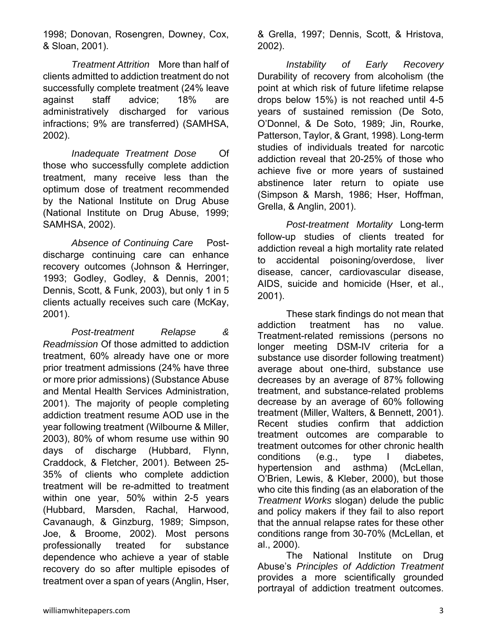1998; Donovan, Rosengren, Downey, Cox, & Sloan, 2001).

*Treatment Attrition* More than half of clients admitted to addiction treatment do not successfully complete treatment (24% leave against staff advice; 18% are administratively discharged for various infractions; 9% are transferred) (SAMHSA, 2002).

*Inadequate Treatment Dose* Of those who successfully complete addiction treatment, many receive less than the optimum dose of treatment recommended by the National Institute on Drug Abuse (National Institute on Drug Abuse, 1999; SAMHSA, 2002).

*Absence of Continuing Care* Postdischarge continuing care can enhance recovery outcomes (Johnson & Herringer, 1993; Godley, Godley, & Dennis, 2001; Dennis, Scott, & Funk, 2003), but only 1 in 5 clients actually receives such care (McKay, 2001).

*Post-treatment Relapse & Readmission* Of those admitted to addiction treatment, 60% already have one or more prior treatment admissions (24% have three or more prior admissions) (Substance Abuse and Mental Health Services Administration, 2001). The majority of people completing addiction treatment resume AOD use in the year following treatment (Wilbourne & Miller, 2003), 80% of whom resume use within 90 days of discharge (Hubbard, Flynn, Craddock, & Fletcher, 2001). Between 25- 35% of clients who complete addiction treatment will be re-admitted to treatment within one year, 50% within 2-5 years (Hubbard, Marsden, Rachal, Harwood, Cavanaugh, & Ginzburg, 1989; Simpson, Joe, & Broome, 2002). Most persons professionally treated for substance dependence who achieve a year of stable recovery do so after multiple episodes of treatment over a span of years (Anglin, Hser,

& Grella, 1997; Dennis, Scott, & Hristova, 2002).

*Instability of Early Recovery* Durability of recovery from alcoholism (the point at which risk of future lifetime relapse drops below 15%) is not reached until 4-5 years of sustained remission (De Soto, O'Donnel, & De Soto, 1989; Jin, Rourke, Patterson, Taylor, & Grant, 1998). Long-term studies of individuals treated for narcotic addiction reveal that 20-25% of those who achieve five or more years of sustained abstinence later return to opiate use (Simpson & Marsh, 1986; Hser, Hoffman, Grella, & Anglin, 2001).

*Post-treatment Mortality* Long-term follow-up studies of clients treated for addiction reveal a high mortality rate related to accidental poisoning/overdose, liver disease, cancer, cardiovascular disease, AIDS, suicide and homicide (Hser, et al., 2001).

These stark findings do not mean that addiction treatment has no value. Treatment-related remissions (persons no longer meeting DSM-IV criteria for a substance use disorder following treatment) average about one-third, substance use decreases by an average of 87% following treatment, and substance-related problems decrease by an average of 60% following treatment (Miller, Walters, & Bennett, 2001). Recent studies confirm that addiction treatment outcomes are comparable to treatment outcomes for other chronic health conditions (e.g., type I diabetes, hypertension and asthma) (McLellan, O'Brien, Lewis, & Kleber, 2000), but those who cite this finding (as an elaboration of the *Treatment Works* slogan) delude the public and policy makers if they fail to also report that the annual relapse rates for these other conditions range from 30-70% (McLellan, et al., 2000).

The National Institute on Drug Abuse's *Principles of Addiction Treatment* provides a more scientifically grounded portrayal of addiction treatment outcomes.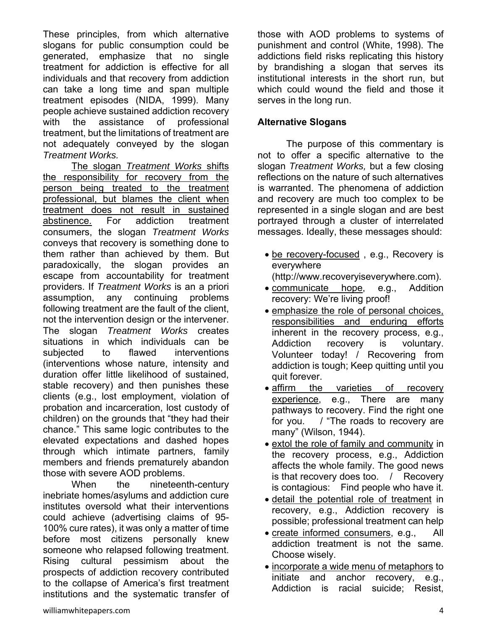These principles, from which alternative slogans for public consumption could be generated, emphasize that no single treatment for addiction is effective for all individuals and that recovery from addiction can take a long time and span multiple treatment episodes (NIDA, 1999). Many people achieve sustained addiction recovery with the assistance of professional treatment, but the limitations of treatment are not adequately conveyed by the slogan *Treatment Works.*

The slogan *Treatment Works* shifts the responsibility for recovery from the person being treated to the treatment professional, but blames the client when treatment does not result in sustained abstinence. For addiction treatment consumers, the slogan *Treatment Works* conveys that recovery is something done to them rather than achieved by them. But paradoxically, the slogan provides an escape from accountability for treatment providers. If *Treatment Works* is an a priori assumption, any continuing problems following treatment are the fault of the client, not the intervention design or the intervener. The slogan *Treatment Works* creates situations in which individuals can be subjected to flawed interventions (interventions whose nature, intensity and duration offer little likelihood of sustained, stable recovery) and then punishes these clients (e.g., lost employment, violation of probation and incarceration, lost custody of children) on the grounds that "they had their chance." This same logic contributes to the elevated expectations and dashed hopes through which intimate partners, family members and friends prematurely abandon those with severe AOD problems.

When the nineteenth-century inebriate homes/asylums and addiction cure institutes oversold what their interventions could achieve (advertising claims of 95- 100% cure rates), it was only a matter of time before most citizens personally knew someone who relapsed following treatment. Rising cultural pessimism about the prospects of addiction recovery contributed to the collapse of America's first treatment institutions and the systematic transfer of those with AOD problems to systems of punishment and control (White, 1998). The addictions field risks replicating this history by brandishing a slogan that serves its institutional interests in the short run, but which could wound the field and those it serves in the long run.

## **Alternative Slogans**

The purpose of this commentary is not to offer a specific alternative to the slogan *Treatment Works,* but a few closing reflections on the nature of such alternatives is warranted. The phenomena of addiction and recovery are much too complex to be represented in a single slogan and are best portrayed through a cluster of interrelated messages. Ideally, these messages should:

- be recovery-focused, e.g., Recovery is everywhere (http://www.recoveryiseverywhere.com).
- communicate hope, e.g., Addition recovery: We're living proof!
- emphasize the role of personal choices, responsibilities and enduring efforts inherent in the recovery process, e.g., Addiction recovery is voluntary. Volunteer today! / Recovering from addiction is tough; Keep quitting until you quit forever.
- affirm the varieties of recovery experience, e.g., There are many pathways to recovery. Find the right one for you. / "The roads to recovery are many" (Wilson, 1944).
- extol the role of family and community in the recovery process, e.g., Addiction affects the whole family. The good news is that recovery does too. / Recovery is contagious: Find people who have it.
- detail the potential role of treatment in recovery, e.g., Addiction recovery is possible; professional treatment can help
- create informed consumers, e.g., All addiction treatment is not the same. Choose wisely.
- incorporate a wide menu of metaphors to initiate and anchor recovery, e.g., Addiction is racial suicide; Resist,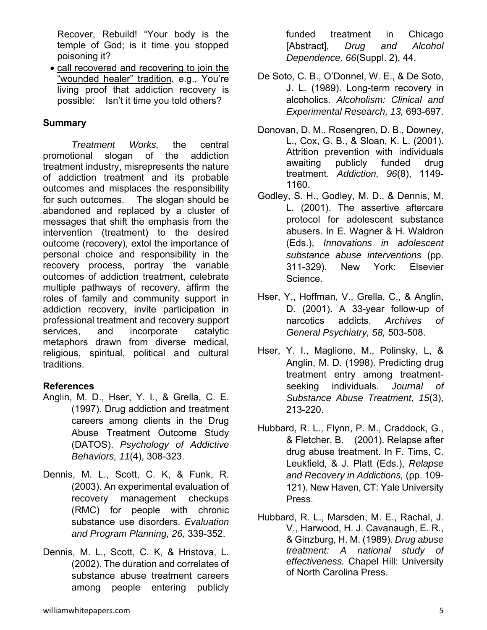Recover, Rebuild! "Your body is the temple of God; is it time you stopped poisoning it?

 call recovered and recovering to join the "wounded healer" tradition, e.g., You're living proof that addiction recovery is possible: Isn't it time you told others?

### **Summary**

*Treatment Works,* the central promotional slogan of the addiction treatment industry, misrepresents the nature of addiction treatment and its probable outcomes and misplaces the responsibility for such outcomes. The slogan should be abandoned and replaced by a cluster of messages that shift the emphasis from the intervention (treatment) to the desired outcome (recovery), extol the importance of personal choice and responsibility in the recovery process, portray the variable outcomes of addiction treatment, celebrate multiple pathways of recovery, affirm the roles of family and community support in addiction recovery, invite participation in professional treatment and recovery support services, and incorporate catalytic metaphors drawn from diverse medical, religious, spiritual, political and cultural traditions.

#### **References**

- Anglin, M. D., Hser, Y. I., & Grella, C. E. (1997). Drug addiction and treatment careers among clients in the Drug Abuse Treatment Outcome Study (DATOS). *Psychology of Addictive Behaviors, 11*(4), 308-323.
- Dennis, M. L., Scott, C. K, & Funk, R. (2003). An experimental evaluation of recovery management checkups (RMC) for people with chronic substance use disorders. *Evaluation and Program Planning, 26,* 339-352.
- Dennis, M. L., Scott, C. K, & Hristova, L. (2002). The duration and correlates of substance abuse treatment careers among people entering publicly

funded treatment in Chicago [Abstract], *Drug and Alcohol Dependence, 66*(Suppl. 2), 44.

- De Soto, C. B., O'Donnel, W. E., & De Soto, J. L. (1989). Long-term recovery in alcoholics. *Alcoholism: Clinical and Experimental Research, 13,* 693-697.
- Donovan, D. M., Rosengren, D. B., Downey, L., Cox, G. B., & Sloan, K. L. (2001). Attrition prevention with individuals awaiting publicly funded drug treatment. *Addiction, 96*(8), 1149- 1160.
- Godley, S. H., Godley, M. D., & Dennis, M. L. (2001). The assertive aftercare protocol for adolescent substance abusers. In E. Wagner & H. Waldron (Eds.), *Innovations in adolescent substance abuse interventions* (pp. 311-329). New York: Elsevier Science.
- Hser, Y., Hoffman, V., Grella, C., & Anglin, D. (2001). A 33-year follow-up of narcotics addicts. *Archives of General Psychiatry, 58,* 503-508.
- Hser, Y. I., Maglione, M., Polinsky, L, & Anglin, M. D. (1998). Predicting drug treatment entry among treatmentseeking individuals. *Journal of Substance Abuse Treatment, 15*(3), 213-220.
- Hubbard, R. L., Flynn, P. M., Craddock, G., & Fletcher, B. (2001). Relapse after drug abuse treatment. In F. Tims, C. Leukfield, & J. Platt (Eds.), *Relapse and Recovery in Addictions,* (pp. 109- 121). New Haven, CT: Yale University Press.
- Hubbard, R. L., Marsden, M. E., Rachal, J. V., Harwood, H. J. Cavanaugh, E. R., & Ginzburg, H. M. (1989). *Drug abuse treatment: A national study of effectiveness.* Chapel Hill: University of North Carolina Press.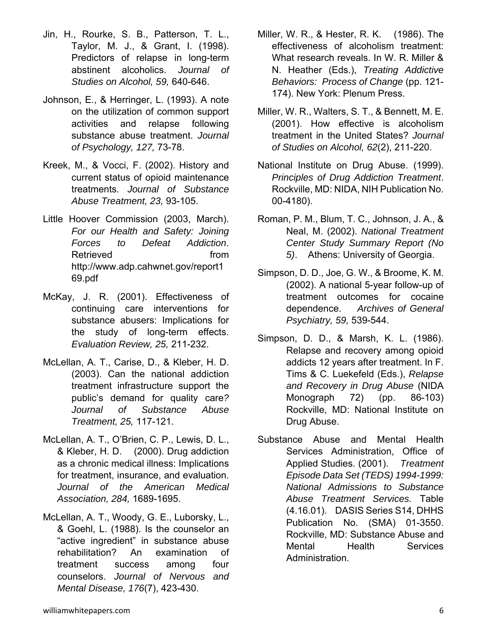- Jin, H., Rourke, S. B., Patterson, T. L., Taylor, M. J., & Grant, I. (1998). Predictors of relapse in long-term abstinent alcoholics. *Journal of Studies on Alcohol, 59,* 640-646.
- Johnson, E., & Herringer, L. (1993). A note on the utilization of common support activities and relapse following substance abuse treatment. *Journal of Psychology, 127,* 73-78.
- Kreek, M., & Vocci, F. (2002). History and current status of opioid maintenance treatments. *Journal of Substance Abuse Treatment, 23,* 93-105.
- Little Hoover Commission (2003, March). *For our Health and Safety: Joining Forces to Defeat Addiction*. Retrieved from **from** http://www.adp.cahwnet.gov/report1 69.pdf
- McKay, J. R. (2001). Effectiveness of continuing care interventions for substance abusers: Implications for the study of long-term effects. *Evaluation Review, 25,* 211-232.
- McLellan, A. T., Carise, D., & Kleber, H. D. (2003). Can the national addiction treatment infrastructure support the public's demand for quality care*? Journal of Substance Abuse Treatment, 25,* 117-121.
- McLellan, A. T., O'Brien, C. P., Lewis, D. L., & Kleber, H. D. (2000). Drug addiction as a chronic medical illness: Implications for treatment, insurance, and evaluation. *Journal of the American Medical Association, 284,* 1689-1695.
- McLellan, A. T., Woody, G. E., Luborsky, L., & Goehl, L. (1988). Is the counselor an "active ingredient" in substance abuse rehabilitation? An examination of treatment success among four counselors. *Journal of Nervous and Mental Disease, 176*(7), 423-430.
- Miller, W. R., & Hester, R. K. (1986). The effectiveness of alcoholism treatment: What research reveals. In W. R. Miller & N. Heather (Eds.), *Treating Addictive Behaviors: Process of Change* (pp. 121- 174). New York: Plenum Press.
- Miller, W. R., Walters, S. T., & Bennett, M. E. (2001). How effective is alcoholism treatment in the United States? *Journal of Studies on Alcohol, 62*(2), 211-220.
- National Institute on Drug Abuse. (1999). *Principles of Drug Addiction Treatment*. Rockville, MD: NIDA, NIH Publication No. 00-4180).
- Roman, P. M., Blum, T. C., Johnson, J. A., & Neal, M. (2002). *National Treatment Center Study Summary Report (No 5)*. Athens: University of Georgia.
- Simpson, D. D., Joe, G. W., & Broome, K. M. (2002). A national 5-year follow-up of treatment outcomes for cocaine dependence. *Archives of General Psychiatry, 59,* 539-544.
- Simpson, D. D., & Marsh, K. L. (1986). Relapse and recovery among opioid addicts 12 years after treatment. In F. Tims & C. Luekefeld (Eds.), *Relapse and Recovery in Drug Abuse* (NIDA Monograph 72) (pp. 86-103) Rockville, MD: National Institute on Drug Abuse.
- Substance Abuse and Mental Health Services Administration, Office of Applied Studies. (2001). *Treatment Episode Data Set (TEDS) 1994-1999: National Admissions to Substance Abuse Treatment Services.* Table (4.16.01). DASIS Series S14, DHHS Publication No. (SMA) 01-3550. Rockville, MD: Substance Abuse and Mental Health Services Administration.